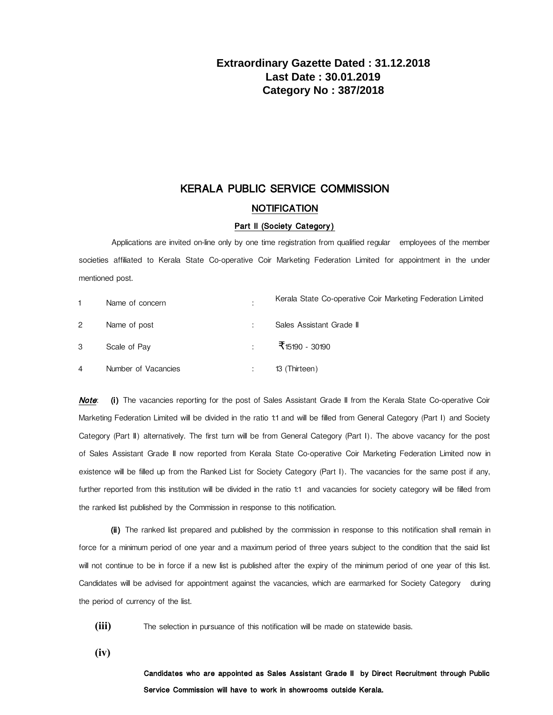# **Extraordinary Gazette Dated : 31.12.2018 Last Date : 30.01.2019 Category No : 387/2018**

## KERALA PUBLIC SERVICE COMMISSION

### **NOTIFICATION**

#### Part II (Society Category)

Applications are invited on-line only by one time registration from qualified regular employees of the member societies affiliated to Kerala State Co-operative Coir Marketing Federation Limited for appointment in the under mentioned post.

|   | Name of concern     | ٠                        | Kerala State Co-operative Coir Marketing Federation Limited |
|---|---------------------|--------------------------|-------------------------------------------------------------|
| 2 | Name of post        | ٠<br>$\cdot$             | Sales Assistant Grade II                                    |
| 3 | Scale of Pay        | ÷                        | <b>₹</b> 15190 - 30190                                      |
| 4 | Number of Vacancies | $\overline{\phantom{a}}$ | 13 (Thirteen)                                               |

Note: (i) The vacancies reporting for the post of Sales Assistant Grade II from the Kerala State Co-operative Coir Marketing Federation Limited will be divided in the ratio 1:1 and will be filled from General Category (Part I) and Society Category (Part II) alternatively. The first turn will be from General Category (Part I). The above vacancy for the post of Sales Assistant Grade II now reported from Kerala State Co-operative Coir Marketing Federation Limited now in existence will be filled up from the Ranked List for Society Category (Part I). The vacancies for the same post if any, further reported from this institution will be divided in the ratio 1:1 and vacancies for society category will be filled from the ranked list published by the Commission in response to this notification.

(ii) The ranked list prepared and published by the commission in response to this notification shall remain in force for a minimum period of one year and a maximum period of three years subject to the condition that the said list will not continue to be in force if a new list is published after the expiry of the minimum period of one year of this list. Candidates will be advised for appointment against the vacancies, which are earmarked for Society Category during the period of currency of the list.

**(iii)** The selection in pursuance of this notification will be made on statewide basis.

**(iv)**

Candidates who are appointed as Sales Assistant Grade II by Direct Recruitment through Public Service Commission will have to work in showrooms outside Kerala.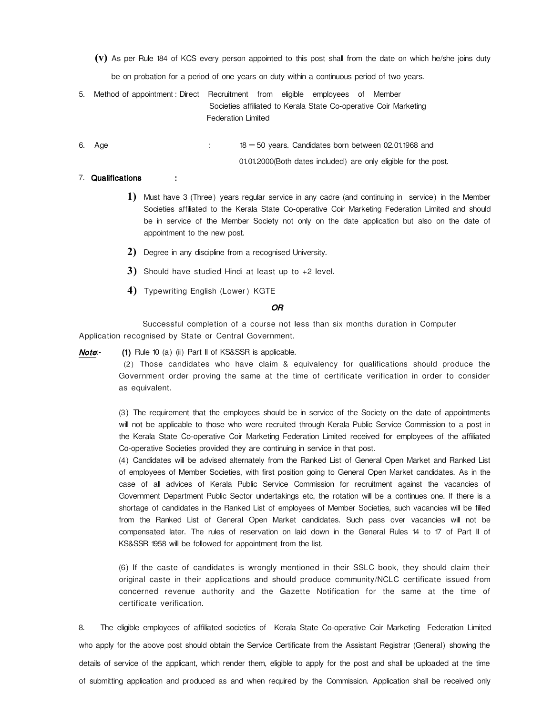**(v)** As per Rule 184 of KCS every person appointed to this post shall from the date on which he/she joins duty

be on probation for a period of one years on duty within a continuous period of two years.

5. Method of appointment : Direct Recruitment from eligible employees of Member Societies affiliated to Kerala State Co-operative Coir Marketing Federation Limited

6. Age  $\therefore$  18 - 50 years. Candidates born between 02.01.1968 and 01.01.2000(Both dates included) are only eligible for the post.

#### 7. Qualifications :

- **1)** Must have 3 (Three) years regular service in any cadre (and continuing in service) in the Member Societies affiliated to the Kerala State Co-operative Coir Marketing Federation Limited and should be in service of the Member Society not only on the date application but also on the date of appointment to the new post.
- **2)** Degree in any discipline from a recognised University.
- **3)** Should have studied Hindi at least up to +2 level.
- **4)** Typewriting English (Lower) KGTE

#### OR

Successful completion of a course not less than six months duration in Computer Application recognised by State or Central Government.

Note: (1) Rule 10 (a) (ii) Part II of KS&SSR is applicable.

 (2) Those candidates who have claim & equivalency for qualifications should produce the Government order proving the same at the time of certificate verification in order to consider as equivalent.

(3) The requirement that the employees should be in service of the Society on the date of appointments will not be applicable to those who were recruited through Kerala Public Service Commission to a post in the Kerala State Co-operative Coir Marketing Federation Limited received for employees of the affiliated Co-operative Societies provided they are continuing in service in that post.

(4) Candidates will be advised alternately from the Ranked List of General Open Market and Ranked List of employees of Member Societies, with first position going to General Open Market candidates. As in the case of all advices of Kerala Public Service Commission for recruitment against the vacancies of Government Department Public Sector undertakings etc, the rotation will be a continues one. If there is a shortage of candidates in the Ranked List of employees of Member Societies, such vacancies will be filled from the Ranked List of General Open Market candidates. Such pass over vacancies will not be compensated later. The rules of reservation on laid down in the General Rules 14 to 17 of Part II of KS&SSR 1958 will be followed for appointment from the list.

(6) If the caste of candidates is wrongly mentioned in their SSLC book, they should claim their original caste in their applications and should produce community/NCLC certificate issued from concerned revenue authority and the Gazette Notification for the same at the time of certificate verification.

8. The eligible employees of affiliated societies of Kerala State Co-operative Coir Marketing Federation Limited who apply for the above post should obtain the Service Certificate from the Assistant Registrar (General) showing the details of service of the applicant, which render them, eligible to apply for the post and shall be uploaded at the time of submitting application and produced as and when required by the Commission. Application shall be received only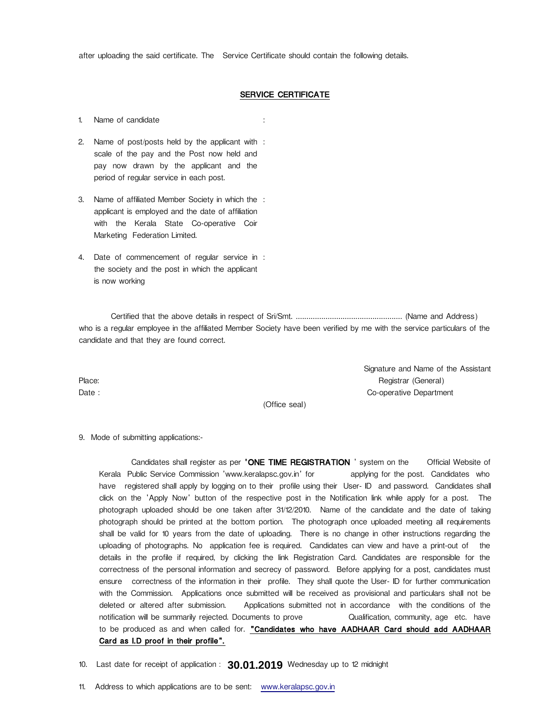after uploading the said certificate. The Service Certificate should contain the following details.

## SERVICE CERTIFICATE

1. Name of candidate :

- 2. Name of post/posts held by the applicant with : scale of the pay and the Post now held and pay now drawn by the applicant and the period of regular service in each post. :
- 3. Name of affiliated Member Society in which the applicant is employed and the date of affiliation with the Kerala State Co-operative Coir Marketing Federation Limited. :
- 4. Date of commencement of regular service in : the society and the post in which the applicant is now working :

Certified that the above details in respect of Sri/Smt. .................................................. (Name and Address) who is a regular employee in the affiliated Member Society have been verified by me with the service particulars of the candidate and that they are found correct.

Signature and Name of the Assistant Place: Registrar (General) Date : Co-operative Department

(Office seal)

9. Mode of submitting applications:-

Candidates shall register as per 'ONE TIME REGISTRATION ' system on the Official Website of Kerala Public Service Commission 'www.keralapsc.gov.in' for applying for the post. Candidates who have registered shall apply by logging on to their profile using their User- ID and password. Candidates shall click on the 'Apply Now' button of the respective post in the Notification link while apply for a post. The photograph uploaded should be one taken after 31/12/2010. Name of the candidate and the date of taking photograph should be printed at the bottom portion. The photograph once uploaded meeting all requirements shall be valid for 10 years from the date of uploading. There is no change in other instructions regarding the uploading of photographs. No application fee is required. Candidates can view and have a print-out of the details in the profile if required, by clicking the link Registration Card. Candidates are responsible for the correctness of the personal information and secrecy of password. Before applying for a post, candidates must ensure correctness of the information in their profile. They shall quote the User- ID for further communication with the Commission. Applications once submitted will be received as provisional and particulars shall not be deleted or altered after submission. Applications submitted not in accordance with the conditions of the notification will be summarily rejected. Documents to prove **Qualification, community, age etc.** have to be produced as and when called for. "Candidates who have AADHAAR Card should add AADHAAR Card as I.D proof in their profile".

10. Last date for receipt of application: **30.01.2019** Wednesday up to 12 midnight

11. Address to which applications are to be sent: [www.keralapsc.g](http://www.keralapsc.org/)ov.in